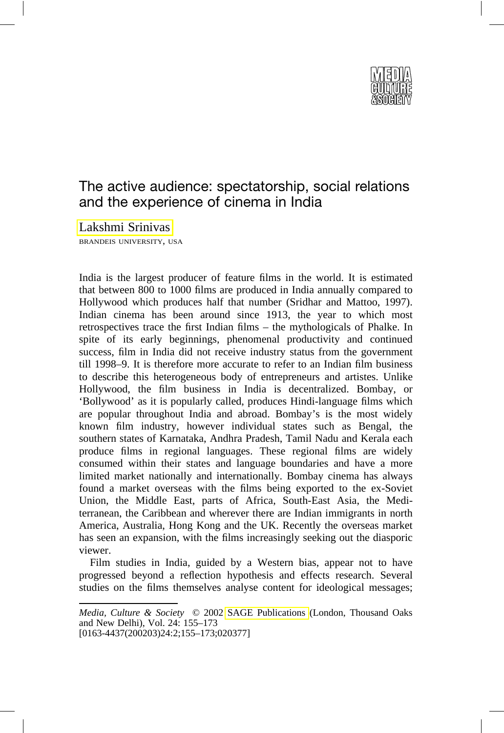

# The active audience: spectatorship, social relations and the experience of cinema in India

[Lakshmi Srinivas](#page-18-0) BRANDEIS UNIVERSITY, USA

India is the largest producer of feature films in the world. It is estimated that between 800 to 1000 films are produced in India annually compared to Hollywood which produces half that number (Sridhar and Mattoo, 1997). Indian cinema has been around since 1913, the year to which most retrospectives trace the first Indian films – the mythologicals of Phalke. In spite of its early beginnings, phenomenal productivity and continued success, film in India did not receive industry status from the government till 1998–9. It is therefore more accurate to refer to an Indian film business to describe this heterogeneous body of entrepreneurs and artistes. Unlike Hollywood, the film business in India is decentralized. Bombay, or 'Bollywood' as it is popularly called, produces Hindi-language films which are popular throughout India and abroad. Bombay's is the most widely known film industry, however individual states such as Bengal, the southern states of Karnataka, Andhra Pradesh, Tamil Nadu and Kerala each produce films in regional languages. These regional films are widely consumed within their states and language boundaries and have a more limited market nationally and internationally. Bombay cinema has always found a market overseas with the films being exported to the ex-Soviet Union, the Middle East, parts of Africa, South-East Asia, the Mediterranean, the Caribbean and wherever there are Indian immigrants in north America, Australia, Hong Kong and the UK. Recently the overseas market has seen an expansion, with the films increasingly seeking out the diasporic viewer.

Film studies in India, guided by a Western bias, appear not to have progressed beyond a reflection hypothesis and effects research. Several studies on the films themselves analyse content for ideological messages;

*Media, Culture & Society* © 2002 [SAGE Publications](http:\\www.sagepublications.com) (London, Thousand Oaks and New Delhi), Vol. 24: 155–173 [0163-4437(200203)24:2;155–173;020377]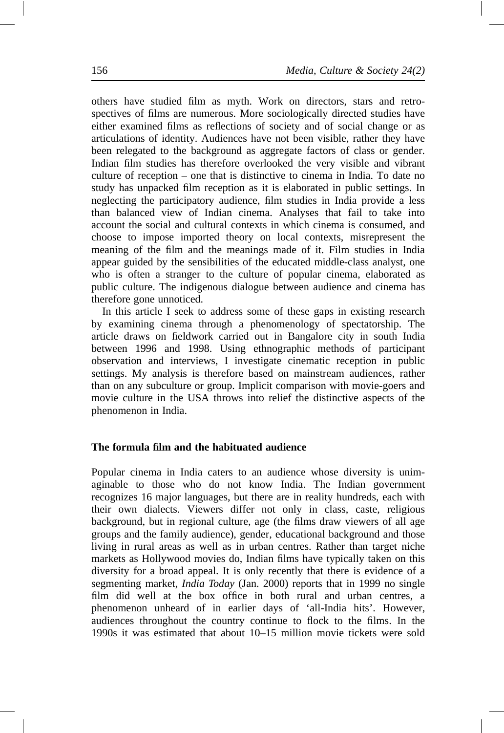others have studied film as myth. Work on directors, stars and retrospectives of films are numerous. More sociologically directed studies have either examined films as reflections of society and of social change or as articulations of identity. Audiences have not been visible, rather they have been relegated to the background as aggregate factors of class or gender. Indian film studies has therefore overlooked the very visible and vibrant culture of reception – one that is distinctive to cinema in India. To date no study has unpacked film reception as it is elaborated in public settings. In neglecting the participatory audience, film studies in India provide a less than balanced view of Indian cinema. Analyses that fail to take into account the social and cultural contexts in which cinema is consumed, and choose to impose imported theory on local contexts, misrepresent the meaning of the film and the meanings made of it. Film studies in India appear guided by the sensibilities of the educated middle-class analyst, one who is often a stranger to the culture of popular cinema, elaborated as public culture. The indigenous dialogue between audience and cinema has therefore gone unnoticed.

In this article I seek to address some of these gaps in existing research by examining cinema through a phenomenology of spectatorship. The article draws on fieldwork carried out in Bangalore city in south India between 1996 and 1998. Using ethnographic methods of participant observation and interviews, I investigate cinematic reception in public settings. My analysis is therefore based on mainstream audiences, rather than on any subculture or group. Implicit comparison with movie-goers and movie culture in the USA throws into relief the distinctive aspects of the phenomenon in India.

# **The formula film and the habituated audience**

Popular cinema in India caters to an audience whose diversity is unimaginable to those who do not know India. The Indian government recognizes 16 major languages, but there are in reality hundreds, each with their own dialects. Viewers differ not only in class, caste, religious background, but in regional culture, age (the films draw viewers of all age groups and the family audience), gender, educational background and those living in rural areas as well as in urban centres. Rather than target niche markets as Hollywood movies do, Indian films have typically taken on this diversity for a broad appeal. It is only recently that there is evidence of a segmenting market, *India Today* (Jan. 2000) reports that in 1999 no single film did well at the box office in both rural and urban centres, a phenomenon unheard of in earlier days of 'all-India hits'. However, audiences throughout the country continue to flock to the films. In the 1990s it was estimated that about 10–15 million movie tickets were sold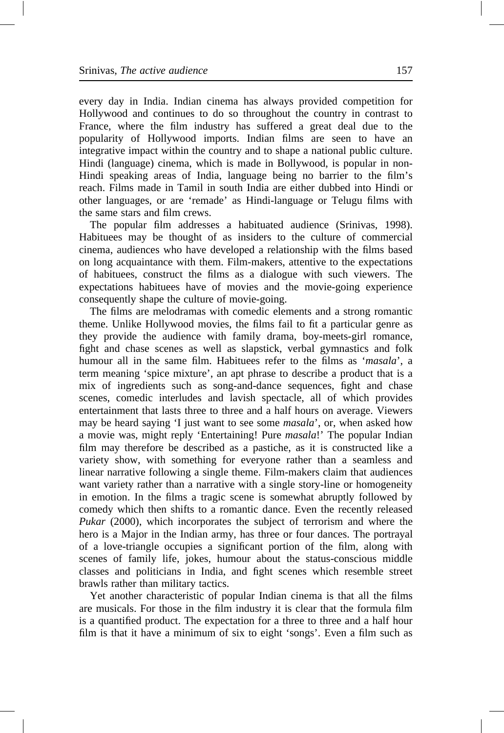every day in India. Indian cinema has always provided competition for Hollywood and continues to do so throughout the country in contrast to France, where the film industry has suffered a great deal due to the popularity of Hollywood imports. Indian films are seen to have an integrative impact within the country and to shape a national public culture. Hindi (language) cinema, which is made in Bollywood, is popular in non-Hindi speaking areas of India, language being no barrier to the film's reach. Films made in Tamil in south India are either dubbed into Hindi or other languages, or are 'remade' as Hindi-language or Telugu films with the same stars and film crews.

The popular film addresses a habituated audience (Srinivas, 1998). Habituees may be thought of as insiders to the culture of commercial cinema, audiences who have developed a relationship with the films based on long acquaintance with them. Film-makers, attentive to the expectations of habituees, construct the films as a dialogue with such viewers. The expectations habituees have of movies and the movie-going experience consequently shape the culture of movie-going.

The films are melodramas with comedic elements and a strong romantic theme. Unlike Hollywood movies, the films fail to fit a particular genre as they provide the audience with family drama, boy-meets-girl romance, fight and chase scenes as well as slapstick, verbal gymnastics and folk humour all in the same film. Habituees refer to the films as '*masala*', a term meaning 'spice mixture', an apt phrase to describe a product that is a mix of ingredients such as song-and-dance sequences, fight and chase scenes, comedic interludes and lavish spectacle, all of which provides entertainment that lasts three to three and a half hours on average. Viewers may be heard saying 'I just want to see some *masala*', or, when asked how a movie was, might reply 'Entertaining! Pure *masala*!' The popular Indian film may therefore be described as a pastiche, as it is constructed like a variety show, with something for everyone rather than a seamless and linear narrative following a single theme. Film-makers claim that audiences want variety rather than a narrative with a single story-line or homogeneity in emotion. In the films a tragic scene is somewhat abruptly followed by comedy which then shifts to a romantic dance. Even the recently released *Pukar* (2000), which incorporates the subject of terrorism and where the hero is a Major in the Indian army, has three or four dances. The portrayal of a love-triangle occupies a significant portion of the film, along with scenes of family life, jokes, humour about the status-conscious middle classes and politicians in India, and fight scenes which resemble street brawls rather than military tactics.

Yet another characteristic of popular Indian cinema is that all the films are musicals. For those in the film industry it is clear that the formula film is a quantified product. The expectation for a three to three and a half hour film is that it have a minimum of six to eight 'songs'. Even a film such as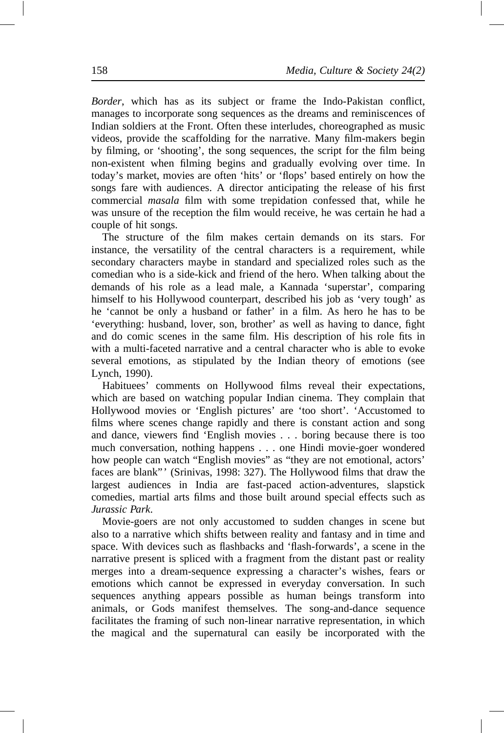*Border*, which has as its subject or frame the Indo-Pakistan conflict, manages to incorporate song sequences as the dreams and reminiscences of Indian soldiers at the Front. Often these interludes, choreographed as music videos, provide the scaffolding for the narrative. Many film-makers begin by filming, or 'shooting', the song sequences, the script for the film being non-existent when filming begins and gradually evolving over time. In today's market, movies are often 'hits' or 'flops' based entirely on how the songs fare with audiences. A director anticipating the release of his first commercial *masala* film with some trepidation confessed that, while he was unsure of the reception the film would receive, he was certain he had a couple of hit songs.

The structure of the film makes certain demands on its stars. For instance, the versatility of the central characters is a requirement, while secondary characters maybe in standard and specialized roles such as the comedian who is a side-kick and friend of the hero. When talking about the demands of his role as a lead male, a Kannada 'superstar', comparing himself to his Hollywood counterpart, described his job as 'very tough' as he 'cannot be only a husband or father' in a film. As hero he has to be 'everything: husband, lover, son, brother' as well as having to dance, fight and do comic scenes in the same film. His description of his role fits in with a multi-faceted narrative and a central character who is able to evoke several emotions, as stipulated by the Indian theory of emotions (see Lynch, 1990).

Habituees' comments on Hollywood films reveal their expectations, which are based on watching popular Indian cinema. They complain that Hollywood movies or 'English pictures' are 'too short'. 'Accustomed to films where scenes change rapidly and there is constant action and song and dance, viewers find 'English movies . . . boring because there is too much conversation, nothing happens . . . one Hindi movie-goer wondered how people can watch "English movies" as "they are not emotional, actors' faces are blank"' (Srinivas, 1998: 327). The Hollywood films that draw the largest audiences in India are fast-paced action-adventures, slapstick comedies, martial arts films and those built around special effects such as *Jurassic Park*.

Movie-goers are not only accustomed to sudden changes in scene but also to a narrative which shifts between reality and fantasy and in time and space. With devices such as flashbacks and 'flash-forwards', a scene in the narrative present is spliced with a fragment from the distant past or reality merges into a dream-sequence expressing a character's wishes, fears or emotions which cannot be expressed in everyday conversation. In such sequences anything appears possible as human beings transform into animals, or Gods manifest themselves. The song-and-dance sequence facilitates the framing of such non-linear narrative representation, in which the magical and the supernatural can easily be incorporated with the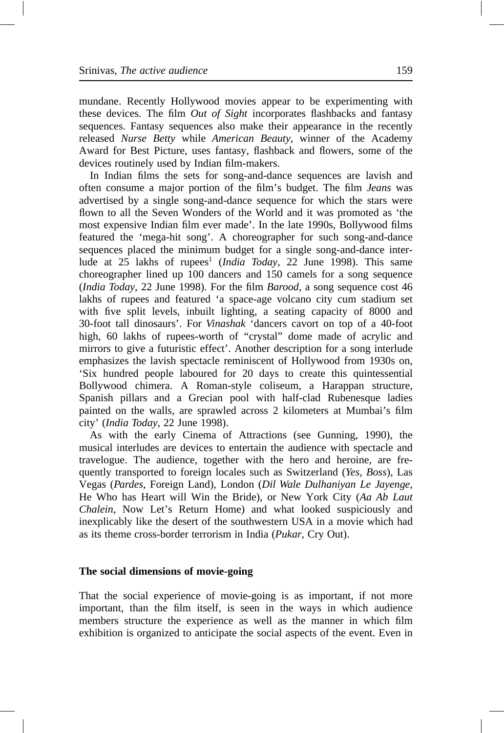mundane. Recently Hollywood movies appear to be experimenting with these devices. The film *Out of Sight* incorporates flashbacks and fantasy sequences. Fantasy sequences also make their appearance in the recently released *Nurse Betty* while *American Beauty*, winner of the Academy Award for Best Picture, uses fantasy, flashback and flowers, some of the devices routinely used by Indian film-makers.

In Indian films the sets for song-and-dance sequences are lavish and often consume a major portion of the film's budget. The film *Jeans* was advertised by a single song-and-dance sequence for which the stars were flown to all the Seven Wonders of the World and it was promoted as 'the most expensive Indian film ever made'. In the late 1990s, Bollywood films featured the 'mega-hit song'. A choreographer for such song-and-dance sequences placed the minimum budget for a single song-and-dance interlude at 25 lakhs of rupees<sup>1</sup> (*India Today*, 22 June 1998). This same choreographer lined up 100 dancers and 150 camels for a song sequence (*India Today*, 22 June 1998). For the film *Barood*, a song sequence cost 46 lakhs of rupees and featured 'a space-age volcano city cum stadium set with five split levels, inbuilt lighting, a seating capacity of 8000 and 30-foot tall dinosaurs'. For *Vinashak* 'dancers cavort on top of a 40-foot high, 60 lakhs of rupees-worth of "crystal" dome made of acrylic and mirrors to give a futuristic effect'. Another description for a song interlude emphasizes the lavish spectacle reminiscent of Hollywood from 1930s on, 'Six hundred people laboured for 20 days to create this quintessential Bollywood chimera. A Roman-style coliseum, a Harappan structure, Spanish pillars and a Grecian pool with half-clad Rubenesque ladies painted on the walls, are sprawled across 2 kilometers at Mumbai's film city' (*India Today*, 22 June 1998).

As with the early Cinema of Attractions (see Gunning, 1990), the musical interludes are devices to entertain the audience with spectacle and travelogue. The audience, together with the hero and heroine, are frequently transported to foreign locales such as Switzerland (*Yes, Boss*), Las Vegas (*Pardes*, Foreign Land), London (*Dil Wale Dulhaniyan Le Jayenge*, He Who has Heart will Win the Bride), or New York City (*Aa Ab Laut Chalein*, Now Let's Return Home) and what looked suspiciously and inexplicably like the desert of the southwestern USA in a movie which had as its theme cross-border terrorism in India (*Pukar*, Cry Out).

# **The social dimensions of movie-going**

That the social experience of movie-going is as important, if not more important, than the film itself, is seen in the ways in which audience members structure the experience as well as the manner in which film exhibition is organized to anticipate the social aspects of the event. Even in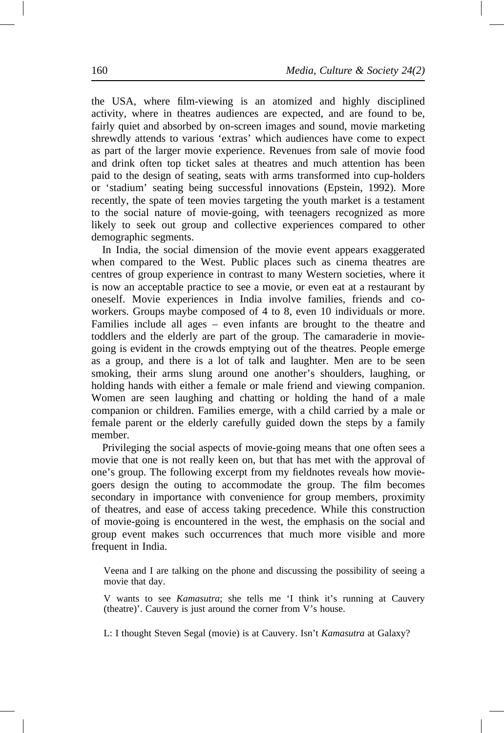the USA, where film-viewing is an atomized and highly disciplined activity, where in theatres audiences are expected, and are found to be, fairly quiet and absorbed by on-screen images and sound, movie marketing shrewdly attends to various 'extras' which audiences have come to expect as part of the larger movie experience. Revenues from sale of movie food and drink often top ticket sales at theatres and much attention has been paid to the design of seating, seats with arms transformed into cup-holders or 'stadium' seating being successful innovations (Epstein, 1992). More recently, the spate of teen movies targeting the youth market is a testament to the social nature of movie-going, with teenagers recognized as more likely to seek out group and collective experiences compared to other demographic segments.

In India, the social dimension of the movie event appears exaggerated when compared to the West. Public places such as cinema theatres are centres of group experience in contrast to many Western societies, where it is now an acceptable practice to see a movie, or even eat at a restaurant by oneself. Movie experiences in India involve families, friends and coworkers. Groups maybe composed of 4 to 8, even 10 individuals or more. Families include all ages – even infants are brought to the theatre and toddlers and the elderly are part of the group. The camaraderie in moviegoing is evident in the crowds emptying out of the theatres. People emerge as a group, and there is a lot of talk and laughter. Men are to be seen smoking, their arms slung around one another's shoulders, laughing, or holding hands with either a female or male friend and viewing companion. Women are seen laughing and chatting or holding the hand of a male companion or children. Families emerge, with a child carried by a male or female parent or the elderly carefully guided down the steps by a family member.

Privileging the social aspects of movie-going means that one often sees a movie that one is not really keen on, but that has met with the approval of one's group. The following excerpt from my fieldnotes reveals how moviegoers design the outing to accommodate the group. The film becomes secondary in importance with convenience for group members, proximity of theatres, and ease of access taking precedence. While this construction of movie-going is encountered in the west, the emphasis on the social and group event makes such occurrences that much more visible and more frequent in India.

Veena and I are talking on the phone and discussing the possibility of seeing a movie that day.

V wants to see *Kamasutra*; she tells me 'I think it's running at Cauvery (theatre)'. Cauvery is just around the corner from V's house.

L: I thought Steven Segal (movie) is at Cauvery. Isn't *Kamasutra* at Galaxy?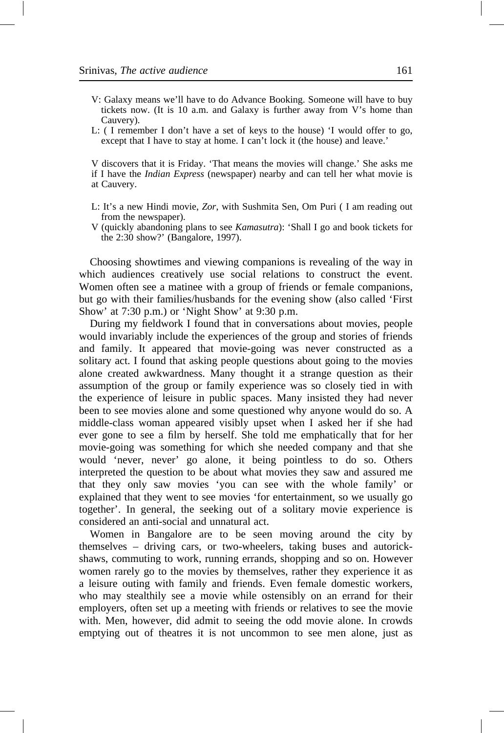- V: Galaxy means we'll have to do Advance Booking. Someone will have to buy tickets now. (It is 10 a.m. and Galaxy is further away from V's home than Cauvery).
- L: ( I remember I don't have a set of keys to the house) 'I would offer to go, except that I have to stay at home. I can't lock it (the house) and leave.'

V discovers that it is Friday. 'That means the movies will change.' She asks me if I have the *Indian Express* (newspaper) nearby and can tell her what movie is at Cauvery.

- L: It's a new Hindi movie, *Zor*, with Sushmita Sen, Om Puri ( I am reading out from the newspaper).
- V (quickly abandoning plans to see *Kamasutra*): 'Shall I go and book tickets for the 2:30 show?' (Bangalore, 1997).

Choosing showtimes and viewing companions is revealing of the way in which audiences creatively use social relations to construct the event. Women often see a matinee with a group of friends or female companions, but go with their families/husbands for the evening show (also called 'First Show' at 7:30 p.m.) or 'Night Show' at 9:30 p.m.

During my fieldwork I found that in conversations about movies, people would invariably include the experiences of the group and stories of friends and family. It appeared that movie-going was never constructed as a solitary act. I found that asking people questions about going to the movies alone created awkwardness. Many thought it a strange question as their assumption of the group or family experience was so closely tied in with the experience of leisure in public spaces. Many insisted they had never been to see movies alone and some questioned why anyone would do so. A middle-class woman appeared visibly upset when I asked her if she had ever gone to see a film by herself. She told me emphatically that for her movie-going was something for which she needed company and that she would 'never, never' go alone, it being pointless to do so. Others interpreted the question to be about what movies they saw and assured me that they only saw movies 'you can see with the whole family' or explained that they went to see movies 'for entertainment, so we usually go together'. In general, the seeking out of a solitary movie experience is considered an anti-social and unnatural act.

Women in Bangalore are to be seen moving around the city by themselves – driving cars, or two-wheelers, taking buses and autorickshaws, commuting to work, running errands, shopping and so on. However women rarely go to the movies by themselves, rather they experience it as a leisure outing with family and friends. Even female domestic workers, who may stealthily see a movie while ostensibly on an errand for their employers, often set up a meeting with friends or relatives to see the movie with. Men, however, did admit to seeing the odd movie alone. In crowds emptying out of theatres it is not uncommon to see men alone, just as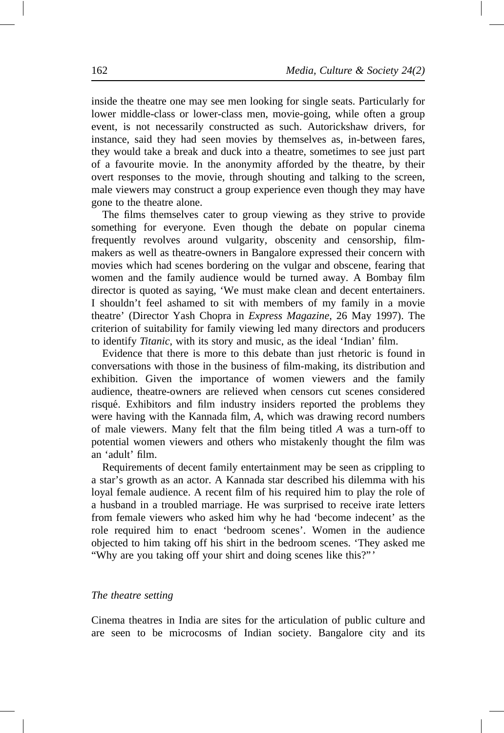inside the theatre one may see men looking for single seats. Particularly for lower middle-class or lower-class men, movie-going, while often a group event, is not necessarily constructed as such. Autorickshaw drivers, for instance, said they had seen movies by themselves as, in-between fares, they would take a break and duck into a theatre, sometimes to see just part of a favourite movie. In the anonymity afforded by the theatre, by their overt responses to the movie, through shouting and talking to the screen, male viewers may construct a group experience even though they may have gone to the theatre alone.

The films themselves cater to group viewing as they strive to provide something for everyone. Even though the debate on popular cinema frequently revolves around vulgarity, obscenity and censorship, filmmakers as well as theatre-owners in Bangalore expressed their concern with movies which had scenes bordering on the vulgar and obscene, fearing that women and the family audience would be turned away. A Bombay film director is quoted as saying, 'We must make clean and decent entertainers. I shouldn't feel ashamed to sit with members of my family in a movie theatre' (Director Yash Chopra in *Express Magazine*, 26 May 1997). The criterion of suitability for family viewing led many directors and producers to identify *Titanic*, with its story and music, as the ideal 'Indian' film.

Evidence that there is more to this debate than just rhetoric is found in conversations with those in the business of film-making, its distribution and exhibition. Given the importance of women viewers and the family audience, theatre-owners are relieved when censors cut scenes considered risqué. Exhibitors and film industry insiders reported the problems they were having with the Kannada film, *A*, which was drawing record numbers of male viewers. Many felt that the film being titled *A* was a turn-off to potential women viewers and others who mistakenly thought the film was an 'adult' film.

Requirements of decent family entertainment may be seen as crippling to a star's growth as an actor. A Kannada star described his dilemma with his loyal female audience. A recent film of his required him to play the role of a husband in a troubled marriage. He was surprised to receive irate letters from female viewers who asked him why he had 'become indecent' as the role required him to enact 'bedroom scenes'. Women in the audience objected to him taking off his shirt in the bedroom scenes. 'They asked me "Why are you taking off your shirt and doing scenes like this?"'

# *The theatre setting*

Cinema theatres in India are sites for the articulation of public culture and are seen to be microcosms of Indian society. Bangalore city and its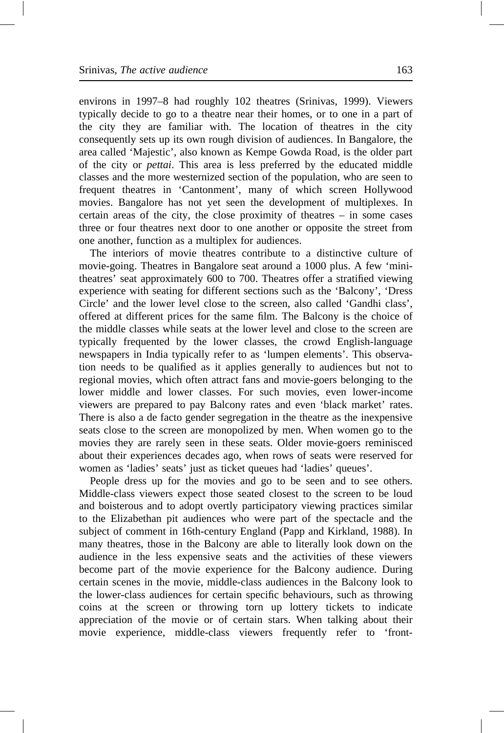environs in 1997–8 had roughly 102 theatres (Srinivas, 1999). Viewers typically decide to go to a theatre near their homes, or to one in a part of the city they are familiar with. The location of theatres in the city consequently sets up its own rough division of audiences. In Bangalore, the area called 'Majestic', also known as Kempe Gowda Road, is the older part of the city or *pettai*. This area is less preferred by the educated middle classes and the more westernized section of the population, who are seen to frequent theatres in 'Cantonment', many of which screen Hollywood movies. Bangalore has not yet seen the development of multiplexes. In certain areas of the city, the close proximity of theatres – in some cases three or four theatres next door to one another or opposite the street from one another, function as a multiplex for audiences.

The interiors of movie theatres contribute to a distinctive culture of movie-going. Theatres in Bangalore seat around a 1000 plus. A few 'minitheatres' seat approximately 600 to 700. Theatres offer a stratified viewing experience with seating for different sections such as the 'Balcony', 'Dress Circle' and the lower level close to the screen, also called 'Gandhi class', offered at different prices for the same film. The Balcony is the choice of the middle classes while seats at the lower level and close to the screen are typically frequented by the lower classes, the crowd English-language newspapers in India typically refer to as 'lumpen elements'. This observation needs to be qualified as it applies generally to audiences but not to regional movies, which often attract fans and movie-goers belonging to the lower middle and lower classes. For such movies, even lower-income viewers are prepared to pay Balcony rates and even 'black market' rates. There is also a de facto gender segregation in the theatre as the inexpensive seats close to the screen are monopolized by men. When women go to the movies they are rarely seen in these seats. Older movie-goers reminisced about their experiences decades ago, when rows of seats were reserved for women as 'ladies' seats' just as ticket queues had 'ladies' queues'.

People dress up for the movies and go to be seen and to see others. Middle-class viewers expect those seated closest to the screen to be loud and boisterous and to adopt overtly participatory viewing practices similar to the Elizabethan pit audiences who were part of the spectacle and the subject of comment in 16th-century England (Papp and Kirkland, 1988). In many theatres, those in the Balcony are able to literally look down on the audience in the less expensive seats and the activities of these viewers become part of the movie experience for the Balcony audience. During certain scenes in the movie, middle-class audiences in the Balcony look to the lower-class audiences for certain specific behaviours, such as throwing coins at the screen or throwing torn up lottery tickets to indicate appreciation of the movie or of certain stars. When talking about their movie experience, middle-class viewers frequently refer to 'front-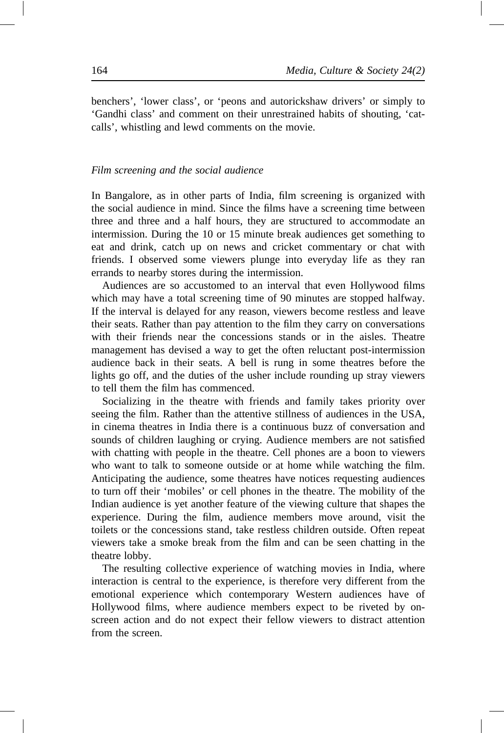benchers', 'lower class', or 'peons and autorickshaw drivers' or simply to 'Gandhi class' and comment on their unrestrained habits of shouting, 'catcalls', whistling and lewd comments on the movie.

# *Film screening and the social audience*

In Bangalore, as in other parts of India, film screening is organized with the social audience in mind. Since the films have a screening time between three and three and a half hours, they are structured to accommodate an intermission. During the 10 or 15 minute break audiences get something to eat and drink, catch up on news and cricket commentary or chat with friends. I observed some viewers plunge into everyday life as they ran errands to nearby stores during the intermission.

Audiences are so accustomed to an interval that even Hollywood films which may have a total screening time of 90 minutes are stopped halfway. If the interval is delayed for any reason, viewers become restless and leave their seats. Rather than pay attention to the film they carry on conversations with their friends near the concessions stands or in the aisles. Theatre management has devised a way to get the often reluctant post-intermission audience back in their seats. A bell is rung in some theatres before the lights go off, and the duties of the usher include rounding up stray viewers to tell them the film has commenced.

Socializing in the theatre with friends and family takes priority over seeing the film. Rather than the attentive stillness of audiences in the USA, in cinema theatres in India there is a continuous buzz of conversation and sounds of children laughing or crying. Audience members are not satisfied with chatting with people in the theatre. Cell phones are a boon to viewers who want to talk to someone outside or at home while watching the film. Anticipating the audience, some theatres have notices requesting audiences to turn off their 'mobiles' or cell phones in the theatre. The mobility of the Indian audience is yet another feature of the viewing culture that shapes the experience. During the film, audience members move around, visit the toilets or the concessions stand, take restless children outside. Often repeat viewers take a smoke break from the film and can be seen chatting in the theatre lobby.

The resulting collective experience of watching movies in India, where interaction is central to the experience, is therefore very different from the emotional experience which contemporary Western audiences have of Hollywood films, where audience members expect to be riveted by onscreen action and do not expect their fellow viewers to distract attention from the screen.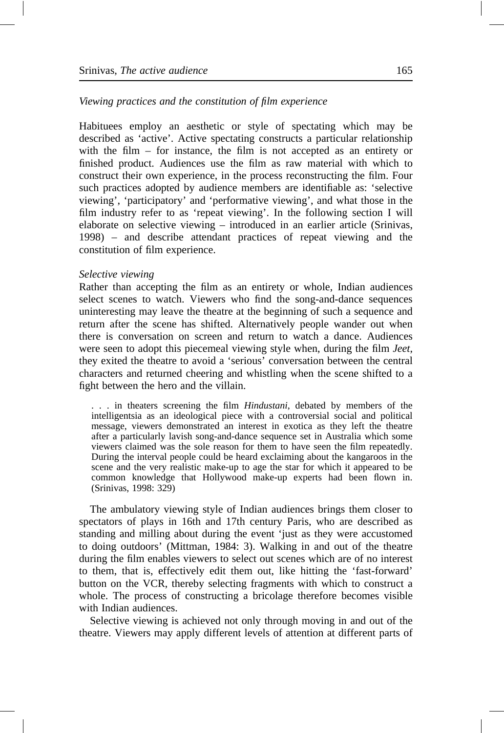# *Viewing practices and the constitution of film experience*

Habituees employ an aesthetic or style of spectating which may be described as 'active'. Active spectating constructs a particular relationship with the film – for instance, the film is not accepted as an entirety or finished product. Audiences use the film as raw material with which to construct their own experience, in the process reconstructing the film. Four such practices adopted by audience members are identifiable as: 'selective viewing', 'participatory' and 'performative viewing', and what those in the film industry refer to as 'repeat viewing'. In the following section I will elaborate on selective viewing – introduced in an earlier article (Srinivas, 1998) – and describe attendant practices of repeat viewing and the constitution of film experience.

### *Selective viewing*

Rather than accepting the film as an entirety or whole, Indian audiences select scenes to watch. Viewers who find the song-and-dance sequences uninteresting may leave the theatre at the beginning of such a sequence and return after the scene has shifted. Alternatively people wander out when there is conversation on screen and return to watch a dance. Audiences were seen to adopt this piecemeal viewing style when, during the film *Jeet*, they exited the theatre to avoid a 'serious' conversation between the central characters and returned cheering and whistling when the scene shifted to a fight between the hero and the villain.

. . . in theaters screening the film *Hindustani*, debated by members of the intelligentsia as an ideological piece with a controversial social and political message, viewers demonstrated an interest in exotica as they left the theatre after a particularly lavish song-and-dance sequence set in Australia which some viewers claimed was the sole reason for them to have seen the film repeatedly. During the interval people could be heard exclaiming about the kangaroos in the scene and the very realistic make-up to age the star for which it appeared to be common knowledge that Hollywood make-up experts had been flown in. (Srinivas, 1998: 329)

The ambulatory viewing style of Indian audiences brings them closer to spectators of plays in 16th and 17th century Paris, who are described as standing and milling about during the event 'just as they were accustomed to doing outdoors' (Mittman, 1984: 3). Walking in and out of the theatre during the film enables viewers to select out scenes which are of no interest to them, that is, effectively edit them out, like hitting the 'fast-forward' button on the VCR, thereby selecting fragments with which to construct a whole. The process of constructing a bricolage therefore becomes visible with Indian audiences.

Selective viewing is achieved not only through moving in and out of the theatre. Viewers may apply different levels of attention at different parts of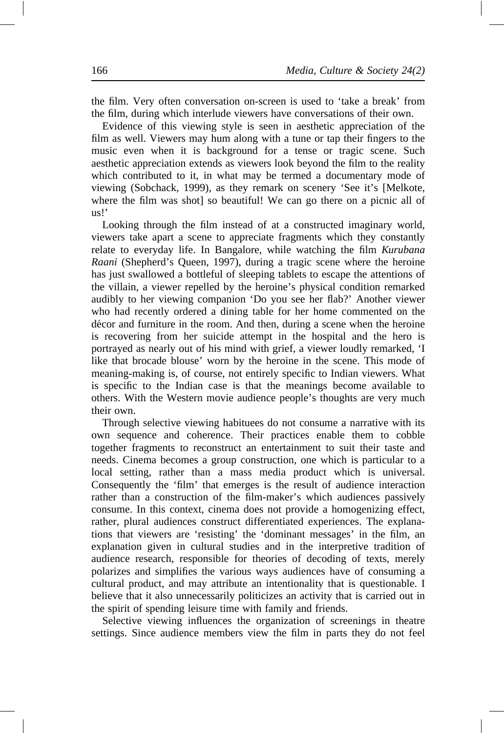the film. Very often conversation on-screen is used to 'take a break' from the film, during which interlude viewers have conversations of their own.

Evidence of this viewing style is seen in aesthetic appreciation of the film as well. Viewers may hum along with a tune or tap their fingers to the music even when it is background for a tense or tragic scene. Such aesthetic appreciation extends as viewers look beyond the film to the reality which contributed to it, in what may be termed a documentary mode of viewing (Sobchack, 1999), as they remark on scenery 'See it's [Melkote, where the film was shot] so beautiful! We can go there on a picnic all of us!'

Looking through the film instead of at a constructed imaginary world, viewers take apart a scene to appreciate fragments which they constantly relate to everyday life. In Bangalore, while watching the film *Kurubana Raani* (Shepherd's Queen, 1997), during a tragic scene where the heroine has just swallowed a bottleful of sleeping tablets to escape the attentions of the villain, a viewer repelled by the heroine's physical condition remarked audibly to her viewing companion 'Do you see her flab?' Another viewer who had recently ordered a dining table for her home commented on the décor and furniture in the room. And then, during a scene when the heroine is recovering from her suicide attempt in the hospital and the hero is portrayed as nearly out of his mind with grief, a viewer loudly remarked, 'I like that brocade blouse' worn by the heroine in the scene. This mode of meaning-making is, of course, not entirely specific to Indian viewers. What is specific to the Indian case is that the meanings become available to others. With the Western movie audience people's thoughts are very much their own.

Through selective viewing habituees do not consume a narrative with its own sequence and coherence. Their practices enable them to cobble together fragments to reconstruct an entertainment to suit their taste and needs. Cinema becomes a group construction, one which is particular to a local setting, rather than a mass media product which is universal. Consequently the 'film' that emerges is the result of audience interaction rather than a construction of the film-maker's which audiences passively consume. In this context, cinema does not provide a homogenizing effect, rather, plural audiences construct differentiated experiences. The explanations that viewers are 'resisting' the 'dominant messages' in the film, an explanation given in cultural studies and in the interpretive tradition of audience research, responsible for theories of decoding of texts, merely polarizes and simplifies the various ways audiences have of consuming a cultural product, and may attribute an intentionality that is questionable. I believe that it also unnecessarily politicizes an activity that is carried out in the spirit of spending leisure time with family and friends.

Selective viewing influences the organization of screenings in theatre settings. Since audience members view the film in parts they do not feel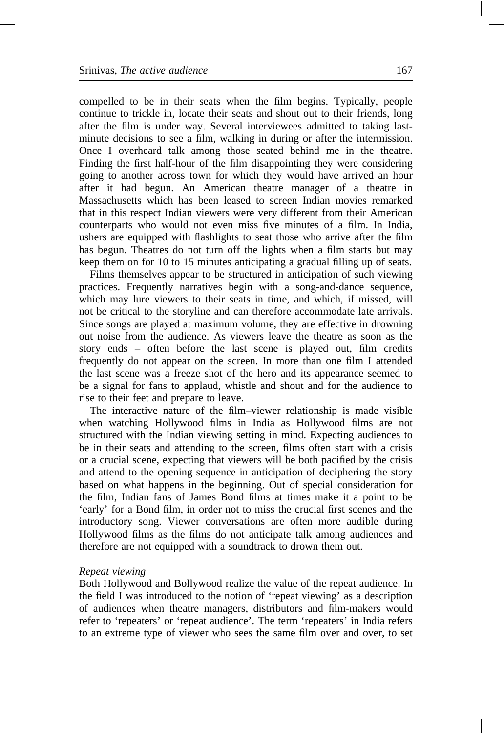compelled to be in their seats when the film begins. Typically, people continue to trickle in, locate their seats and shout out to their friends, long after the film is under way. Several interviewees admitted to taking lastminute decisions to see a film, walking in during or after the intermission. Once I overheard talk among those seated behind me in the theatre. Finding the first half-hour of the film disappointing they were considering going to another across town for which they would have arrived an hour after it had begun. An American theatre manager of a theatre in Massachusetts which has been leased to screen Indian movies remarked that in this respect Indian viewers were very different from their American counterparts who would not even miss five minutes of a film. In India, ushers are equipped with flashlights to seat those who arrive after the film has begun. Theatres do not turn off the lights when a film starts but may keep them on for 10 to 15 minutes anticipating a gradual filling up of seats.

Films themselves appear to be structured in anticipation of such viewing practices. Frequently narratives begin with a song-and-dance sequence, which may lure viewers to their seats in time, and which, if missed, will not be critical to the storyline and can therefore accommodate late arrivals. Since songs are played at maximum volume, they are effective in drowning out noise from the audience. As viewers leave the theatre as soon as the story ends – often before the last scene is played out, film credits frequently do not appear on the screen. In more than one film I attended the last scene was a freeze shot of the hero and its appearance seemed to be a signal for fans to applaud, whistle and shout and for the audience to rise to their feet and prepare to leave.

The interactive nature of the film–viewer relationship is made visible when watching Hollywood films in India as Hollywood films are not structured with the Indian viewing setting in mind. Expecting audiences to be in their seats and attending to the screen, films often start with a crisis or a crucial scene, expecting that viewers will be both pacified by the crisis and attend to the opening sequence in anticipation of deciphering the story based on what happens in the beginning. Out of special consideration for the film, Indian fans of James Bond films at times make it a point to be 'early' for a Bond film, in order not to miss the crucial first scenes and the introductory song. Viewer conversations are often more audible during Hollywood films as the films do not anticipate talk among audiences and therefore are not equipped with a soundtrack to drown them out.

#### *Repeat viewing*

Both Hollywood and Bollywood realize the value of the repeat audience. In the field I was introduced to the notion of 'repeat viewing' as a description of audiences when theatre managers, distributors and film-makers would refer to 'repeaters' or 'repeat audience'. The term 'repeaters' in India refers to an extreme type of viewer who sees the same film over and over, to set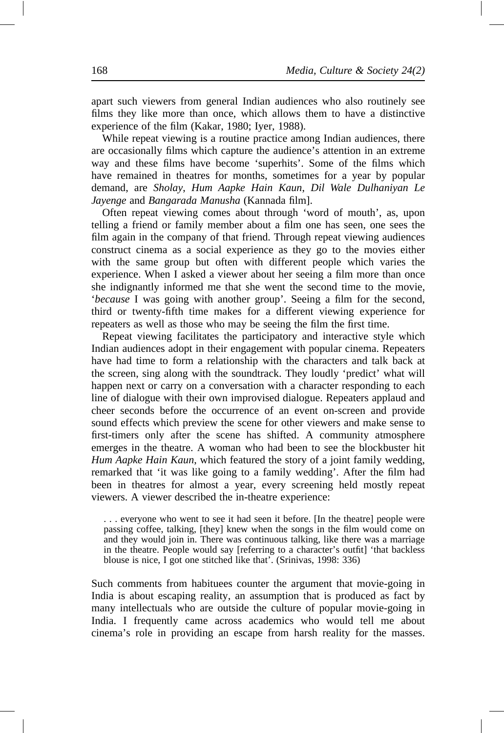apart such viewers from general Indian audiences who also routinely see films they like more than once, which allows them to have a distinctive experience of the film (Kakar, 1980; Iyer, 1988).

While repeat viewing is a routine practice among Indian audiences, there are occasionally films which capture the audience's attention in an extreme way and these films have become 'superhits'. Some of the films which have remained in theatres for months, sometimes for a year by popular demand, are *Sholay*, *Hum Aapke Hain Kaun*, *Dil Wale Dulhaniyan Le Jayenge* and *Bangarada Manusha* (Kannada film].

Often repeat viewing comes about through 'word of mouth', as, upon telling a friend or family member about a film one has seen, one sees the film again in the company of that friend. Through repeat viewing audiences construct cinema as a social experience as they go to the movies either with the same group but often with different people which varies the experience. When I asked a viewer about her seeing a film more than once she indignantly informed me that she went the second time to the movie, '*because* I was going with another group'. Seeing a film for the second, third or twenty-fifth time makes for a different viewing experience for repeaters as well as those who may be seeing the film the first time.

Repeat viewing facilitates the participatory and interactive style which Indian audiences adopt in their engagement with popular cinema. Repeaters have had time to form a relationship with the characters and talk back at the screen, sing along with the soundtrack. They loudly 'predict' what will happen next or carry on a conversation with a character responding to each line of dialogue with their own improvised dialogue. Repeaters applaud and cheer seconds before the occurrence of an event on-screen and provide sound effects which preview the scene for other viewers and make sense to first-timers only after the scene has shifted. A community atmosphere emerges in the theatre. A woman who had been to see the blockbuster hit *Hum Aapke Hain Kaun*, which featured the story of a joint family wedding, remarked that 'it was like going to a family wedding'. After the film had been in theatres for almost a year, every screening held mostly repeat viewers. A viewer described the in-theatre experience:

. . . everyone who went to see it had seen it before. [In the theatre] people were passing coffee, talking, [they] knew when the songs in the film would come on and they would join in. There was continuous talking, like there was a marriage in the theatre. People would say [referring to a character's outfit] 'that backless blouse is nice, I got one stitched like that'. (Srinivas, 1998: 336)

Such comments from habituees counter the argument that movie-going in India is about escaping reality, an assumption that is produced as fact by many intellectuals who are outside the culture of popular movie-going in India. I frequently came across academics who would tell me about cinema's role in providing an escape from harsh reality for the masses.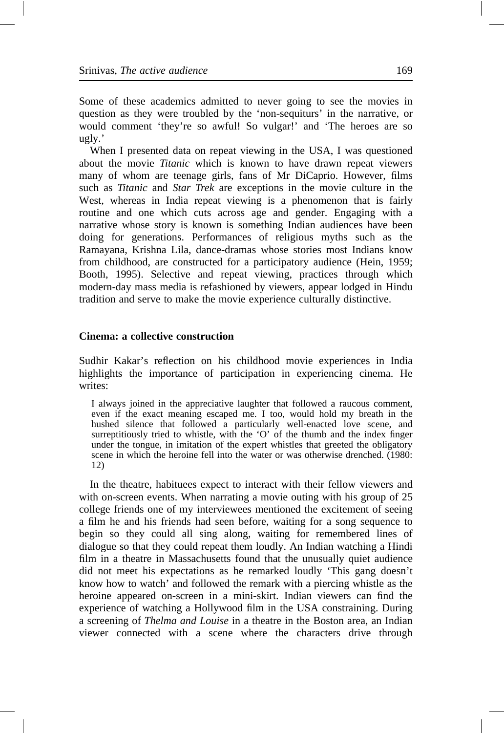Some of these academics admitted to never going to see the movies in question as they were troubled by the 'non-sequiturs' in the narrative, or would comment 'they're so awful! So vulgar!' and 'The heroes are so ugly.'

When I presented data on repeat viewing in the USA, I was questioned about the movie *Titanic* which is known to have drawn repeat viewers many of whom are teenage girls, fans of Mr DiCaprio. However, films such as *Titanic* and *Star Trek* are exceptions in the movie culture in the West, whereas in India repeat viewing is a phenomenon that is fairly routine and one which cuts across age and gender. Engaging with a narrative whose story is known is something Indian audiences have been doing for generations. Performances of religious myths such as the Ramayana, Krishna Lila, dance-dramas whose stories most Indians know from childhood, are constructed for a participatory audience (Hein, 1959; Booth, 1995). Selective and repeat viewing, practices through which modern-day mass media is refashioned by viewers, appear lodged in Hindu tradition and serve to make the movie experience culturally distinctive.

# **Cinema: a collective construction**

Sudhir Kakar's reflection on his childhood movie experiences in India highlights the importance of participation in experiencing cinema. He writes:

I always joined in the appreciative laughter that followed a raucous comment, even if the exact meaning escaped me. I too, would hold my breath in the hushed silence that followed a particularly well-enacted love scene, and surreptitiously tried to whistle, with the 'O' of the thumb and the index finger under the tongue, in imitation of the expert whistles that greeted the obligatory scene in which the heroine fell into the water or was otherwise drenched. (1980: 12)

In the theatre, habituees expect to interact with their fellow viewers and with on-screen events. When narrating a movie outing with his group of 25 college friends one of my interviewees mentioned the excitement of seeing a film he and his friends had seen before, waiting for a song sequence to begin so they could all sing along, waiting for remembered lines of dialogue so that they could repeat them loudly. An Indian watching a Hindi film in a theatre in Massachusetts found that the unusually quiet audience did not meet his expectations as he remarked loudly 'This gang doesn't know how to watch' and followed the remark with a piercing whistle as the heroine appeared on-screen in a mini-skirt. Indian viewers can find the experience of watching a Hollywood film in the USA constraining. During a screening of *Thelma and Louise* in a theatre in the Boston area, an Indian viewer connected with a scene where the characters drive through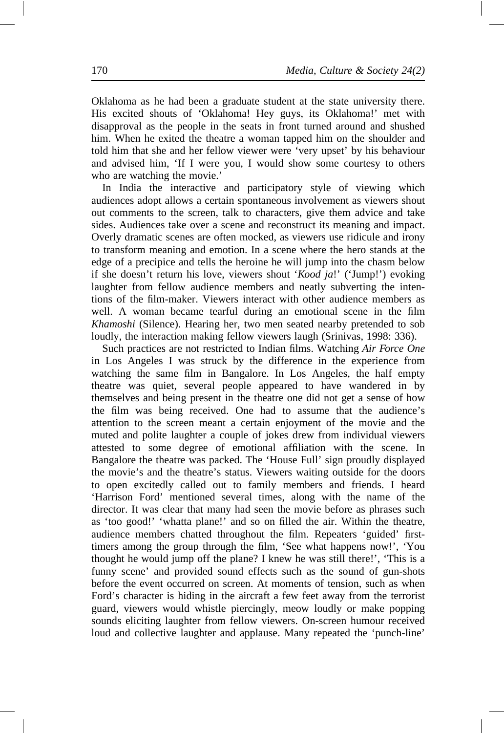Oklahoma as he had been a graduate student at the state university there. His excited shouts of 'Oklahoma! Hey guys, its Oklahoma!' met with disapproval as the people in the seats in front turned around and shushed him. When he exited the theatre a woman tapped him on the shoulder and told him that she and her fellow viewer were 'very upset' by his behaviour and advised him, 'If I were you, I would show some courtesy to others who are watching the movie.'

In India the interactive and participatory style of viewing which audiences adopt allows a certain spontaneous involvement as viewers shout out comments to the screen, talk to characters, give them advice and take sides. Audiences take over a scene and reconstruct its meaning and impact. Overly dramatic scenes are often mocked, as viewers use ridicule and irony to transform meaning and emotion. In a scene where the hero stands at the edge of a precipice and tells the heroine he will jump into the chasm below if she doesn't return his love, viewers shout '*Kood ja*!' ('Jump!') evoking laughter from fellow audience members and neatly subverting the intentions of the film-maker. Viewers interact with other audience members as well. A woman became tearful during an emotional scene in the film *Khamoshi* (Silence). Hearing her, two men seated nearby pretended to sob loudly, the interaction making fellow viewers laugh (Srinivas, 1998: 336).

Such practices are not restricted to Indian films. Watching *Air Force One* in Los Angeles I was struck by the difference in the experience from watching the same film in Bangalore. In Los Angeles, the half empty theatre was quiet, several people appeared to have wandered in by themselves and being present in the theatre one did not get a sense of how the film was being received. One had to assume that the audience's attention to the screen meant a certain enjoyment of the movie and the muted and polite laughter a couple of jokes drew from individual viewers attested to some degree of emotional affiliation with the scene. In Bangalore the theatre was packed. The 'House Full' sign proudly displayed the movie's and the theatre's status. Viewers waiting outside for the doors to open excitedly called out to family members and friends. I heard 'Harrison Ford' mentioned several times, along with the name of the director. It was clear that many had seen the movie before as phrases such as 'too good!' 'whatta plane!' and so on filled the air. Within the theatre, audience members chatted throughout the film. Repeaters 'guided' firsttimers among the group through the film, 'See what happens now!', 'You thought he would jump off the plane? I knew he was still there!', 'This is a funny scene' and provided sound effects such as the sound of gun-shots before the event occurred on screen. At moments of tension, such as when Ford's character is hiding in the aircraft a few feet away from the terrorist guard, viewers would whistle piercingly, meow loudly or make popping sounds eliciting laughter from fellow viewers. On-screen humour received loud and collective laughter and applause. Many repeated the 'punch-line'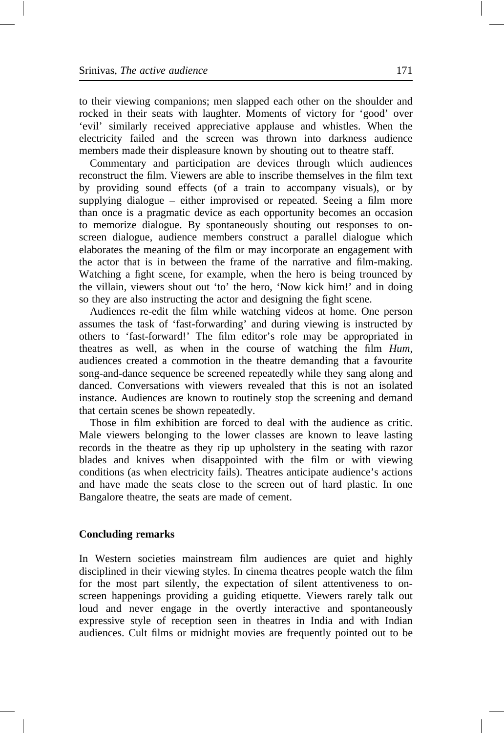to their viewing companions; men slapped each other on the shoulder and rocked in their seats with laughter. Moments of victory for 'good' over 'evil' similarly received appreciative applause and whistles. When the electricity failed and the screen was thrown into darkness audience members made their displeasure known by shouting out to theatre staff.

Commentary and participation are devices through which audiences reconstruct the film. Viewers are able to inscribe themselves in the film text by providing sound effects (of a train to accompany visuals), or by supplying dialogue – either improvised or repeated. Seeing a film more than once is a pragmatic device as each opportunity becomes an occasion to memorize dialogue. By spontaneously shouting out responses to onscreen dialogue, audience members construct a parallel dialogue which elaborates the meaning of the film or may incorporate an engagement with the actor that is in between the frame of the narrative and film-making. Watching a fight scene, for example, when the hero is being trounced by the villain, viewers shout out 'to' the hero, 'Now kick him!' and in doing so they are also instructing the actor and designing the fight scene.

Audiences re-edit the film while watching videos at home. One person assumes the task of 'fast-forwarding' and during viewing is instructed by others to 'fast-forward!' The film editor's role may be appropriated in theatres as well, as when in the course of watching the film *Hum*, audiences created a commotion in the theatre demanding that a favourite song-and-dance sequence be screened repeatedly while they sang along and danced. Conversations with viewers revealed that this is not an isolated instance. Audiences are known to routinely stop the screening and demand that certain scenes be shown repeatedly.

Those in film exhibition are forced to deal with the audience as critic. Male viewers belonging to the lower classes are known to leave lasting records in the theatre as they rip up upholstery in the seating with razor blades and knives when disappointed with the film or with viewing conditions (as when electricity fails). Theatres anticipate audience's actions and have made the seats close to the screen out of hard plastic. In one Bangalore theatre, the seats are made of cement.

# **Concluding remarks**

In Western societies mainstream film audiences are quiet and highly disciplined in their viewing styles. In cinema theatres people watch the film for the most part silently, the expectation of silent attentiveness to onscreen happenings providing a guiding etiquette. Viewers rarely talk out loud and never engage in the overtly interactive and spontaneously expressive style of reception seen in theatres in India and with Indian audiences. Cult films or midnight movies are frequently pointed out to be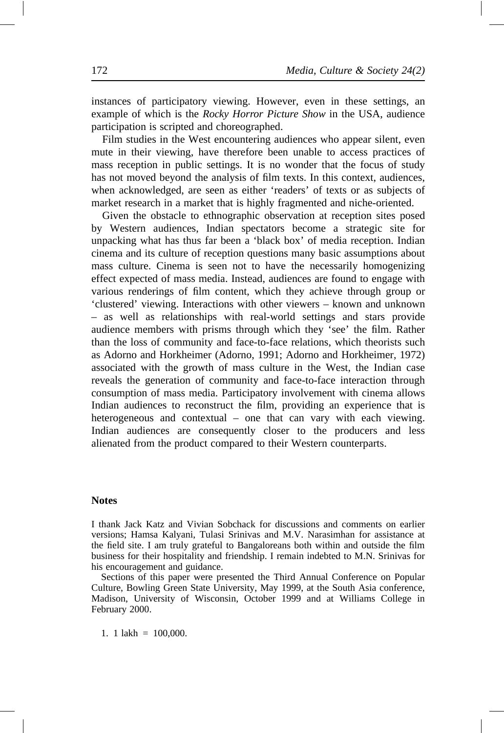instances of participatory viewing. However, even in these settings, an example of which is the *Rocky Horror Picture Show* in the USA, audience participation is scripted and choreographed.

Film studies in the West encountering audiences who appear silent, even mute in their viewing, have therefore been unable to access practices of mass reception in public settings. It is no wonder that the focus of study has not moved beyond the analysis of film texts. In this context, audiences, when acknowledged, are seen as either 'readers' of texts or as subjects of market research in a market that is highly fragmented and niche-oriented.

Given the obstacle to ethnographic observation at reception sites posed by Western audiences, Indian spectators become a strategic site for unpacking what has thus far been a 'black box' of media reception. Indian cinema and its culture of reception questions many basic assumptions about mass culture. Cinema is seen not to have the necessarily homogenizing effect expected of mass media. Instead, audiences are found to engage with various renderings of film content, which they achieve through group or 'clustered' viewing. Interactions with other viewers – known and unknown – as well as relationships with real-world settings and stars provide audience members with prisms through which they 'see' the film. Rather than the loss of community and face-to-face relations, which theorists such as Adorno and Horkheimer (Adorno, 1991; Adorno and Horkheimer, 1972) associated with the growth of mass culture in the West, the Indian case reveals the generation of community and face-to-face interaction through consumption of mass media. Participatory involvement with cinema allows Indian audiences to reconstruct the film, providing an experience that is heterogeneous and contextual – one that can vary with each viewing. Indian audiences are consequently closer to the producers and less alienated from the product compared to their Western counterparts.

# **Notes**

I thank Jack Katz and Vivian Sobchack for discussions and comments on earlier versions; Hamsa Kalyani, Tulasi Srinivas and M.V. Narasimhan for assistance at the field site. I am truly grateful to Bangaloreans both within and outside the film business for their hospitality and friendship. I remain indebted to M.N. Srinivas for his encouragement and guidance.

Sections of this paper were presented the Third Annual Conference on Popular Culture, Bowling Green State University, May 1999, at the South Asia conference, Madison, University of Wisconsin, October 1999 and at Williams College in February 2000.

1. 1 lakh =  $100,000$ .